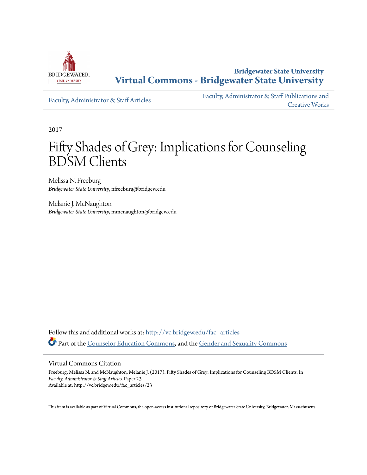

**Bridgewater State University [Virtual Commons - Bridgewater State University](http://vc.bridgew.edu?utm_source=vc.bridgew.edu%2Ffac_articles%2F23&utm_medium=PDF&utm_campaign=PDFCoverPages)**

[Faculty, Administrator & Staff Articles](http://vc.bridgew.edu/fac_articles?utm_source=vc.bridgew.edu%2Ffac_articles%2F23&utm_medium=PDF&utm_campaign=PDFCoverPages)

[Faculty, Administrator & Staff Publications and](http://vc.bridgew.edu/fac_pubs?utm_source=vc.bridgew.edu%2Ffac_articles%2F23&utm_medium=PDF&utm_campaign=PDFCoverPages) [Creative Works](http://vc.bridgew.edu/fac_pubs?utm_source=vc.bridgew.edu%2Ffac_articles%2F23&utm_medium=PDF&utm_campaign=PDFCoverPages)

2017

## Fifty Shades of Grey: Implications for Counseling BDSM Clients

Melissa N. Freeburg *Bridgewater State University*, nfreeburg@bridgew.edu

Melanie J. McNaughton *Bridgewater State University*, mmcnaughton@bridgew.edu

Follow this and additional works at: [http://vc.bridgew.edu/fac\\_articles](http://vc.bridgew.edu/fac_articles?utm_source=vc.bridgew.edu%2Ffac_articles%2F23&utm_medium=PDF&utm_campaign=PDFCoverPages) Part of the [Counselor Education Commons,](http://network.bepress.com/hgg/discipline/1278?utm_source=vc.bridgew.edu%2Ffac_articles%2F23&utm_medium=PDF&utm_campaign=PDFCoverPages) and the [Gender and Sexuality Commons](http://network.bepress.com/hgg/discipline/420?utm_source=vc.bridgew.edu%2Ffac_articles%2F23&utm_medium=PDF&utm_campaign=PDFCoverPages)

#### Virtual Commons Citation

Freeburg, Melissa N. and McNaughton, Melanie J. (2017). Fifty Shades of Grey: Implications for Counseling BDSM Clients. In *Faculty, Administrator & Staff Articles.* Paper 23. Available at: http://vc.bridgew.edu/fac\_articles/23

This item is available as part of Virtual Commons, the open-access institutional repository of Bridgewater State University, Bridgewater, Massachusetts.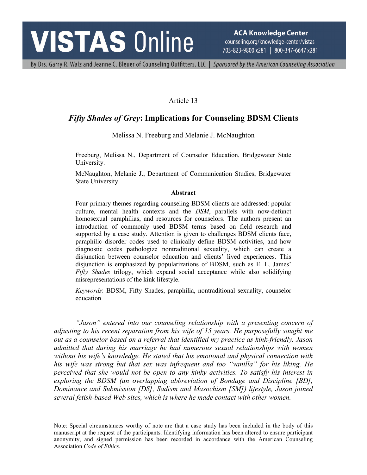# **VISTAS Online**

**ACA Knowledge Center** counseling.org/knowledge-center/vistas 703-823-9800 x281 | 800-347-6647 x281

By Drs. Garry R. Walz and Jeanne C. Bleuer of Counseling Outfitters, LLC | Sponsored by the American Counseling Association

#### Article 13

### *Fifty Shades of Grey***: Implications for Counseling BDSM Clients**

Melissa N. Freeburg and Melanie J. McNaughton

Freeburg, Melissa N., Department of Counselor Education, Bridgewater State University.

McNaughton, Melanie J., Department of Communication Studies, Bridgewater State University.

#### **Abstract**

Four primary themes regarding counseling BDSM clients are addressed: popular culture, mental health contexts and the *DSM*, parallels with now-defunct homosexual paraphilias, and resources for counselors. The authors present an introduction of commonly used BDSM terms based on field research and supported by a case study. Attention is given to challenges BDSM clients face, paraphilic disorder codes used to clinically define BDSM activities, and how diagnostic codes pathologize nontraditional sexuality, which can create a disjunction between counselor education and clients' lived experiences. This disjunction is emphasized by popularizations of BDSM, such as E. L. James' *Fifty Shades* trilogy, which expand social acceptance while also solidifying misrepresentations of the kink lifestyle.

*Keywords*: BDSM, Fifty Shades, paraphilia, nontraditional sexuality, counselor education

*"Jason" entered into our counseling relationship with a presenting concern of adjusting to his recent separation from his wife of 15 years. He purposefully sought me out as a counselor based on a referral that identified my practice as kink-friendly. Jason admitted that during his marriage he had numerous sexual relationships with women without his wife's knowledge. He stated that his emotional and physical connection with his wife was strong but that sex was infrequent and too "vanilla" for his liking. He perceived that she would not be open to any kinky activities. To satisfy his interest in exploring the BDSM (an overlapping abbreviation of Bondage and Discipline [BD], Dominance and Submission [DS], Sadism and Masochism [SM]) lifestyle, Jason joined several fetish-based Web sites, which is where he made contact with other women.*

Note: Special circumstances worthy of note are that a case study has been included in the body of this manuscript at the request of the participants. Identifying information has been altered to ensure participant anonymity, and signed permission has been recorded in accordance with the American Counseling Association *Code of Ethics*.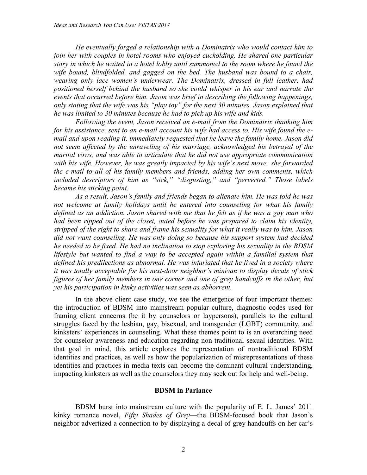*He eventually forged a relationship with a Dominatrix who would contact him to join her with couples in hotel rooms who enjoyed cuckolding. He shared one particular story in which he waited in a hotel lobby until summoned to the room where he found the wife bound, blindfolded, and gagged on the bed. The husband was bound to a chair, wearing only lace women's underwear. The Dominatrix, dressed in full leather, had positioned herself behind the husband so she could whisper in his ear and narrate the events that occurred before him. Jason was brief in describing the following happenings, only stating that the wife was his "play toy" for the next 30 minutes. Jason explained that he was limited to 30 minutes because he had to pick up his wife and kids.*

*Following the event, Jason received an e-mail from the Dominatrix thanking him for his assistance, sent to an e-mail account his wife had access to. His wife found the email and upon reading it, immediately requested that he leave the family home. Jason did not seem affected by the unraveling of his marriage, acknowledged his betrayal of the marital vows, and was able to articulate that he did not use appropriate communication with his wife. However, he was greatly impacted by his wife's next move: she forwarded the e-mail to all of his family members and friends, adding her own comments, which included descriptors of him as "sick," "disgusting," and "perverted." Those labels became his sticking point.*

*As a result, Jason's family and friends began to alienate him. He was told he was not welcome at family holidays until he entered into counseling for what his family defined as an addiction. Jason shared with me that he felt as if he was a gay man who had been ripped out of the closet, outed before he was prepared to claim his identity, stripped of the right to share and frame his sexuality for what it really was to him. Jason did not want counseling. He was only doing so because his support system had decided he needed to be fixed. He had no inclination to stop exploring his sexuality in the BDSM lifestyle but wanted to find a way to be accepted again within a familial system that defined his predilections as abnormal. He was infuriated that he lived in a society where it was totally acceptable for his next-door neighbor's minivan to display decals of stick figures of her family members in one corner and one of grey handcuffs in the other, but yet his participation in kinky activities was seen as abhorrent.*

In the above client case study, we see the emergence of four important themes: the introduction of BDSM into mainstream popular culture, diagnostic codes used for framing client concerns (be it by counselors or laypersons), parallels to the cultural struggles faced by the lesbian, gay, bisexual, and transgender (LGBT) community, and kinksters' experiences in counseling. What these themes point to is an overarching need for counselor awareness and education regarding non-traditional sexual identities. With that goal in mind, this article explores the representation of nontraditional BDSM identities and practices, as well as how the popularization of misrepresentations of these identities and practices in media texts can become the dominant cultural understanding, impacting kinksters as well as the counselors they may seek out for help and well-being.

#### **BDSM in Parlance**

BDSM burst into mainstream culture with the popularity of E. L. James' 2011 kinky romance novel, *Fifty Shades of Grey*—the BDSM-focused book that Jason's neighbor advertized a connection to by displaying a decal of grey handcuffs on her car's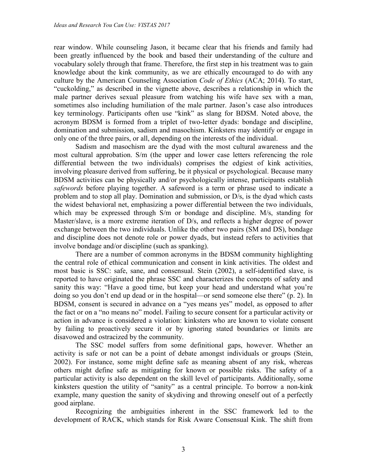rear window. While counseling Jason, it became clear that his friends and family had been greatly influenced by the book and based their understanding of the culture and vocabulary solely through that frame. Therefore, the first step in his treatment was to gain knowledge about the kink community, as we are ethically encouraged to do with any culture by the American Counseling Association *Code of Ethics* (ACA; 2014). To start, "cuckolding," as described in the vignette above, describes a relationship in which the male partner derives sexual pleasure from watching his wife have sex with a man, sometimes also including humiliation of the male partner. Jason's case also introduces key terminology. Participants often use "kink" as slang for BDSM. Noted above, the acronym BDSM is formed from a triplet of two-letter dyads: bondage and discipline, domination and submission, sadism and masochism. Kinksters may identify or engage in only one of the three pairs, or all, depending on the interests of the individual.

Sadism and masochism are the dyad with the most cultural awareness and the most cultural approbation. S/m (the upper and lower case letters referencing the role differential between the two individuals) comprises the edgiest of kink activities, involving pleasure derived from suffering, be it physical or psychological. Because many BDSM activities can be physically and/or psychologically intense, participants establish *safewords* before playing together. A safeword is a term or phrase used to indicate a problem and to stop all play. Domination and submission, or D/s, is the dyad which casts the widest behavioral net, emphasizing a power differential between the two individuals, which may be expressed through S/m or bondage and discipline. M/s, standing for Master/slave, is a more extreme iteration of D/s, and reflects a higher degree of power exchange between the two individuals. Unlike the other two pairs (SM and DS), bondage and discipline does not denote role or power dyads, but instead refers to activities that involve bondage and/or discipline (such as spanking).

There are a number of common acronyms in the BDSM community highlighting the central role of ethical communication and consent in kink activities. The oldest and most basic is SSC: safe, sane, and consensual. Stein (2002), a self-identified slave, is reported to have originated the phrase SSC and characterizes the concepts of safety and sanity this way: "Have a good time, but keep your head and understand what you're doing so you don't end up dead or in the hospital—or send someone else there" (p. 2). In BDSM, consent is secured in advance on a "yes means yes" model, as opposed to after the fact or on a "no means no" model. Failing to secure consent for a particular activity or action in advance is considered a violation: kinksters who are known to violate consent by failing to proactively secure it or by ignoring stated boundaries or limits are disavowed and ostracized by the community.

The SSC model suffers from some definitional gaps, however. Whether an activity is safe or not can be a point of debate amongst individuals or groups (Stein, 2002). For instance, some might define safe as meaning absent of any risk, whereas others might define safe as mitigating for known or possible risks. The safety of a particular activity is also dependent on the skill level of participants. Additionally, some kinksters question the utility of "sanity" as a central principle. To borrow a non-kink example, many question the sanity of skydiving and throwing oneself out of a perfectly good airplane.

Recognizing the ambiguities inherent in the SSC framework led to the development of RACK, which stands for Risk Aware Consensual Kink. The shift from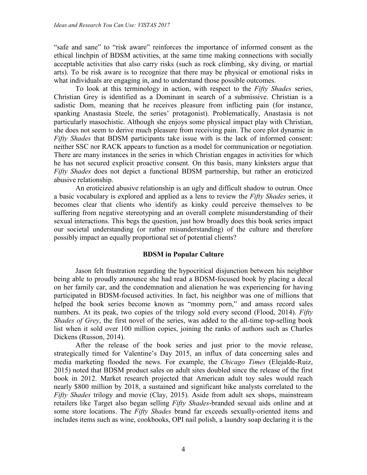"safe and sane" to "risk aware" reinforces the importance of informed consent as the ethical linchpin of BDSM activities, at the same time making connections with socially acceptable activities that also carry risks (such as rock climbing, sky diving, or martial arts). To be risk aware is to recognize that there may be physical or emotional risks in what individuals are engaging in, and to understand those possible outcomes.

To look at this terminology in action, with respect to the *Fifty Shades* series, Christian Grey is identified as a Dominant in search of a submissive. Christian is a sadistic Dom, meaning that he receives pleasure from inflicting pain (for instance, spanking Anastasia Steele, the series' protagonist). Problematically, Anastasia is not particularly masochistic. Although she enjoys some physical impact play with Christian, she does not seem to derive much pleasure from receiving pain. The core plot dynamic in *Fifty Shades* that BDSM participants take issue with is the lack of informed consent: neither SSC nor RACK appears to function as a model for communication or negotiation. There are many instances in the series in which Christian engages in activities for which he has not secured explicit proactive consent. On this basis, many kinksters argue that *Fifty Shades* does not depict a functional BDSM partnership, but rather an eroticized abusive relationship.

An eroticized abusive relationship is an ugly and difficult shadow to outrun. Once a basic vocabulary is explored and applied as a lens to review the *Fifty Shades* series, it becomes clear that clients who identify as kinky could perceive themselves to be suffering from negative stereotyping and an overall complete misunderstanding of their sexual interactions. This begs the question, just how broadly does this book series impact our societal understanding (or rather misunderstanding) of the culture and therefore possibly impact an equally proportional set of potential clients?

#### **BDSM in Popular Culture**

Jason felt frustration regarding the hypocritical disjunction between his neighbor being able to proudly announce she had read a BDSM-focused book by placing a decal on her family car, and the condemnation and alienation he was experiencing for having participated in BDSM-focused activities. In fact, his neighbor was one of millions that helped the book series become known as "mommy porn," and amass record sales numbers. At its peak, two copies of the trilogy sold every second (Flood, 2014). *Fifty Shades of Grey*, the first novel of the series, was added to the all-time top-selling book list when it sold over 100 million copies, joining the ranks of authors such as Charles Dickens (Russon, 2014).

After the release of the book series and just prior to the movie release, strategically timed for Valentine's Day 2015, an influx of data concerning sales and media marketing flooded the news. For example, the *Chicago Times* (Elejalde-Ruiz, 2015) noted that BDSM product sales on adult sites doubled since the release of the first book in 2012. Market research projected that American adult toy sales would reach nearly \$800 million by 2018, a sustained and significant hike analysts correlated to the *Fifty Shades* trilogy and movie (Clay, 2015). Aside from adult sex shops, mainstream retailers like Target also began selling *Fifty Shades*-branded sexual aids online and at some store locations. The *Fifty Shades* brand far exceeds sexually-oriented items and includes items such as wine, cookbooks, OPI nail polish, a laundry soap declaring it is the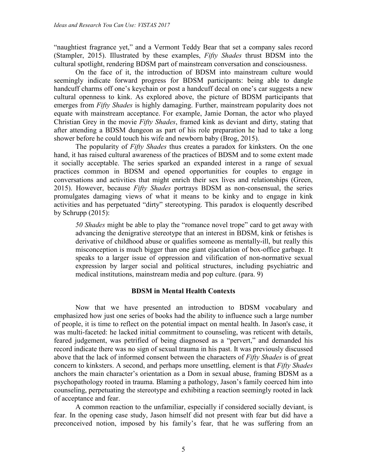"naughtiest fragrance yet," and a Vermont Teddy Bear that set a company sales record (Stampler, 2015). Illustrated by these examples, *Fifty Shades* thrust BDSM into the cultural spotlight, rendering BDSM part of mainstream conversation and consciousness.

On the face of it, the introduction of BDSM into mainstream culture would seemingly indicate forward progress for BDSM participants: being able to dangle handcuff charms off one's keychain or post a handcuff decal on one's car suggests a new cultural openness to kink. As explored above, the picture of BDSM participants that emerges from *Fifty Shades* is highly damaging. Further, mainstream popularity does not equate with mainstream acceptance. For example, Jamie Dornan, the actor who played Christian Grey in the movie *Fifty Shades*, framed kink as deviant and dirty, stating that after attending a BDSM dungeon as part of his role preparation he had to take a long shower before he could touch his wife and newborn baby (Brog, 2015).

The popularity of *Fifty Shades* thus creates a paradox for kinksters. On the one hand, it has raised cultural awareness of the practices of BDSM and to some extent made it socially acceptable. The series sparked an expanded interest in a range of sexual practices common in BDSM and opened opportunities for couples to engage in conversations and activities that might enrich their sex lives and relationships (Green, 2015). However, because *Fifty Shades* portrays BDSM as non-consensual, the series promulgates damaging views of what it means to be kinky and to engage in kink activities and has perpetuated "dirty" stereotyping. This paradox is eloquently described by Schrupp (2015):

*50 Shades* might be able to play the "romance novel trope" card to get away with advancing the denigrative stereotype that an interest in BDSM, kink or fetishes is derivative of childhood abuse or qualifies someone as mentally-ill, but really this misconception is much bigger than one giant ejaculation of box-office garbage. It speaks to a larger issue of oppression and vilification of non-normative sexual expression by larger social and political structures, including psychiatric and medical institutions, mainstream media and pop culture. (para. 9)

#### **BDSM in Mental Health Contexts**

Now that we have presented an introduction to BDSM vocabulary and emphasized how just one series of books had the ability to influence such a large number of people, it is time to reflect on the potential impact on mental health. In Jason's case, it was multi-faceted: he lacked initial commitment to counseling, was reticent with details, feared judgement, was petrified of being diagnosed as a "pervert," and demanded his record indicate there was no sign of sexual trauma in his past. It was previously discussed above that the lack of informed consent between the characters of *Fifty Shades* is of great concern to kinksters. A second, and perhaps more unsettling, element is that *Fifty Shades* anchors the main character's orientation as a Dom in sexual abuse, framing BDSM as a psychopathology rooted in trauma. Blaming a pathology, Jason's family coerced him into counseling, perpetuating the stereotype and exhibiting a reaction seemingly rooted in lack of acceptance and fear.

A common reaction to the unfamiliar, especially if considered socially deviant, is fear. In the opening case study, Jason himself did not present with fear but did have a preconceived notion, imposed by his family's fear, that he was suffering from an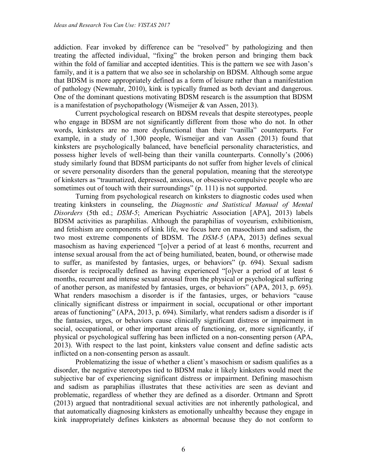addiction. Fear invoked by difference can be "resolved" by pathologizing and then treating the affected individual, "fixing" the broken person and bringing them back within the fold of familiar and accepted identities. This is the pattern we see with Jason's family, and it is a pattern that we also see in scholarship on BDSM. Although some argue that BDSM is more appropriately defined as a form of leisure rather than a manifestation of pathology (Newmahr, 2010), kink is typically framed as both deviant and dangerous. One of the dominant questions motivating BDSM research is the assumption that BDSM is a manifestation of psychopathology (Wismeijer & van Assen, 2013).

Current psychological research on BDSM reveals that despite stereotypes, people who engage in BDSM are not significantly different from those who do not. In other words, kinksters are no more dysfunctional than their "vanilla" counterparts. For example, in a study of 1,300 people, Wismeijer and van Assen (2013) found that kinksters are psychologically balanced, have beneficial personality characteristics, and possess higher levels of well-being than their vanilla counterparts. Connolly's (2006) study similarly found that BDSM participants do not suffer from higher levels of clinical or severe personality disorders than the general population, meaning that the stereotype of kinksters as "traumatized, depressed, anxious, or obsessive-compulsive people who are sometimes out of touch with their surroundings" (p. 111) is not supported.

Turning from psychological research on kinksters to diagnostic codes used when treating kinksters in counseling, the *Diagnostic and Statistical Manual of Mental Disorders* (5th ed.; *DSM-5*; American Psychiatric Association [APA], 2013) labels BDSM activities as paraphilias. Although the paraphilias of voyeurism, exhibitionism, and fetishism are components of kink life, we focus here on masochism and sadism, the two most extreme components of BDSM. The *DSM-5* (APA, 2013) defines sexual masochism as having experienced "[o]ver a period of at least 6 months, recurrent and intense sexual arousal from the act of being humiliated, beaten, bound, or otherwise made to suffer, as manifested by fantasies, urges, or behaviors" (p. 694). Sexual sadism disorder is reciprocally defined as having experienced "[o]ver a period of at least 6 months, recurrent and intense sexual arousal from the physical or psychological suffering of another person, as manifested by fantasies, urges, or behaviors" (APA, 2013, p. 695). What renders masochism a disorder is if the fantasies, urges, or behaviors "cause clinically significant distress or impairment in social, occupational or other important areas of functioning" (APA, 2013, p. 694). Similarly, what renders sadism a disorder is if the fantasies, urges, or behaviors cause clinically significant distress or impairment in social, occupational, or other important areas of functioning, or, more significantly, if physical or psychological suffering has been inflicted on a non-consenting person (APA, 2013). With respect to the last point, kinksters value consent and define sadistic acts inflicted on a non-consenting person as assault.

Problematizing the issue of whether a client's masochism or sadism qualifies as a disorder, the negative stereotypes tied to BDSM make it likely kinksters would meet the subjective bar of experiencing significant distress or impairment. Defining masochism and sadism as paraphilias illustrates that these activities are seen as deviant and problematic, regardless of whether they are defined as a disorder. Ortmann and Sprott (2013) argued that nontraditional sexual activities are not inherently pathological, and that automatically diagnosing kinksters as emotionally unhealthy because they engage in kink inappropriately defines kinksters as abnormal because they do not conform to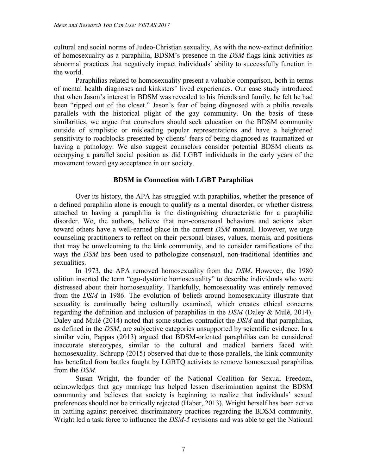cultural and social norms of Judeo-Christian sexuality. As with the now-extinct definition of homosexuality as a paraphilia, BDSM's presence in the *DSM* flags kink activities as abnormal practices that negatively impact individuals' ability to successfully function in the world.

Paraphilias related to homosexuality present a valuable comparison, both in terms of mental health diagnoses and kinksters' lived experiences. Our case study introduced that when Jason's interest in BDSM was revealed to his friends and family, he felt he had been "ripped out of the closet." Jason's fear of being diagnosed with a philia reveals parallels with the historical plight of the gay community. On the basis of these similarities, we argue that counselors should seek education on the BDSM community outside of simplistic or misleading popular representations and have a heightened sensitivity to roadblocks presented by clients' fears of being diagnosed as traumatized or having a pathology. We also suggest counselors consider potential BDSM clients as occupying a parallel social position as did LGBT individuals in the early years of the movement toward gay acceptance in our society.

#### **BDSM in Connection with LGBT Paraphilias**

Over its history, the APA has struggled with paraphilias, whether the presence of a defined paraphilia alone is enough to qualify as a mental disorder, or whether distress attached to having a paraphilia is the distinguishing characteristic for a paraphilic disorder. We, the authors, believe that non-consensual behaviors and actions taken toward others have a well-earned place in the current *DSM* manual. However, we urge counseling practitioners to reflect on their personal biases, values, morals, and positions that may be unwelcoming to the kink community, and to consider ramifications of the ways the *DSM* has been used to pathologize consensual, non-traditional identities and sexualities.

In 1973, the APA removed homosexuality from the *DSM*. However, the 1980 edition inserted the term "ego-dystonic homosexuality" to describe individuals who were distressed about their homosexuality. Thankfully, homosexuality was entirely removed from the *DSM* in 1986. The evolution of beliefs around homosexuality illustrate that sexuality is continually being culturally examined, which creates ethical concerns regarding the definition and inclusion of paraphilias in the *DSM* (Daley & Mulé, 2014). Daley and Mulé (2014) noted that some studies contradict the *DSM* and that paraphilias, as defined in the *DSM*, are subjective categories unsupported by scientific evidence. In a similar vein, Pappas (2013) argued that BDSM-oriented paraphilias can be considered inaccurate stereotypes, similar to the cultural and medical barriers faced with homosexuality. Schrupp (2015) observed that due to those parallels, the kink community has benefited from battles fought by LGBTQ activists to remove homosexual paraphilias from the *DSM*.

Susan Wright, the founder of the National Coalition for Sexual Freedom, acknowledges that gay marriage has helped lessen discrimination against the BDSM community and believes that society is beginning to realize that individuals' sexual preferences should not be critically rejected (Haber, 2013). Wright herself has been active in battling against perceived discriminatory practices regarding the BDSM community. Wright led a task force to influence the *DSM-5* revisions and was able to get the National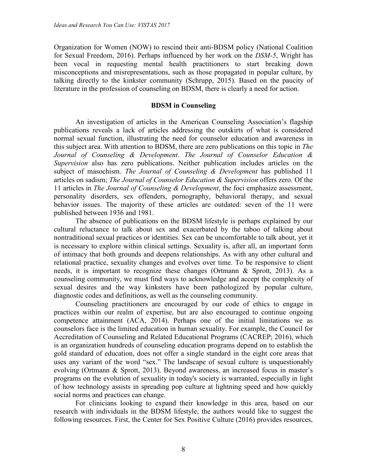Organization for Women (NOW) to rescind their anti-BDSM policy (National Coalition for Sexual Freedom, 2016). Perhaps influenced by her work on the *DSM-5*, Wright has been vocal in requesting mental health practitioners to start breaking down misconceptions and misrepresentations, such as those propagated in popular culture, by talking directly to the kinkster community (Schrupp, 2015). Based on the paucity of literature in the profession of counseling on BDSM, there is clearly a need for action.

#### **BDSM in Counseling**

An investigation of articles in the American Counseling Association's flagship publications reveals a lack of articles addressing the outskirts of what is considered normal sexual function, illustrating the need for counselor education and awareness in this subject area. With attention to BDSM, there are zero publications on this topic in *The Journal of Counseling & Development*. *The Journal of Counselor Education & Supervision* also has zero publications. Neither publication includes articles on the subject of masochism. *The Journal of Counseling & Development* has published 11 articles on sadism; *The Journal of Counselor Education & Supervision* offers zero. Of the 11 articles in *The Journal of Counseling & Development*, the foci emphasize assessment, personality disorders, sex offenders, pornography, behavioral therapy, and sexual behavior issues. The majority of these articles are outdated: seven of the 11 were published between 1936 and 1981.

The absence of publications on the BDSM lifestyle is perhaps explained by our cultural reluctance to talk about sex and exacerbated by the taboo of talking about nontraditional sexual practices or identities. Sex can be uncomfortable to talk about, yet it is necessary to explore within clinical settings. Sexuality is, after all, an important form of intimacy that both grounds and deepens relationships. As with any other cultural and relational practice, sexuality changes and evolves over time. To be responsive to client needs, it is important to recognize these changes (Ortmann & Sprott, 2013). As a counseling community, we must find ways to acknowledge and accept the complexity of sexual desires and the way kinksters have been pathologized by popular culture, diagnostic codes and definitions, as well as the counseling community.

Counseling practitioners are encouraged by our code of ethics to engage in practices within our realm of expertise, but are also encouraged to continue ongoing competence attainment (ACA, 2014). Perhaps one of the initial limitations we as counselors face is the limited education in human sexuality. For example, the Council for Accreditation of Counseling and Related Educational Programs (CACREP; 2016), which is an organization hundreds of counseling education programs depend on to establish the gold standard of education, does not offer a single standard in the eight core areas that uses any variant of the word "sex." The landscape of sexual culture is unquestionably evolving (Ortmann & Sprott, 2013). Beyond awareness, an increased focus in master's programs on the evolution of sexuality in today's society is warranted, especially in light of how technology assists in spreading pop culture at lightning speed and how quickly social norms and practices can change.

For clinicians looking to expand their knowledge in this area, based on our research with individuals in the BDSM lifestyle, the authors would like to suggest the following resources. First, the Center for Sex Positive Culture (2016) provides resources,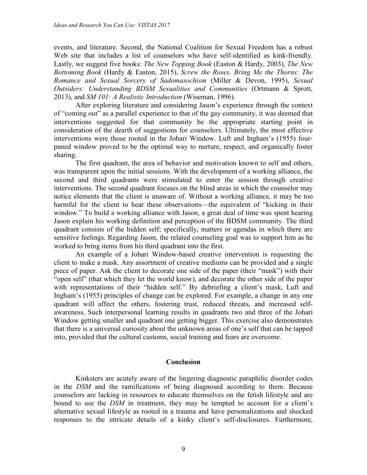events, and literature. Second, the National Coalition for Sexual Freedom has a robust Web site that includes a list of counselors who have self-identified as kink-friendly. Lastly, we suggest five books: *The New Topping Book* (Easton & Hardy, 2003), *The New Bottoming Book* (Hardy & Easton, 2015), *Screw the Roses, Bring Me the Thorns: The Romance and Sexual Sorcery of Sadomasochism* (Miller & Devon, 1995), *Sexual Outsiders: Understanding BDSM Sexualities and Communities* (Ortmann & Sprott, 2013), and *SM 101: A Realistic Introduction* (Wiseman, 1996).

After exploring literature and considering Jason's experience through the context of "coming out" as a parallel experience to that of the gay community, it was deemed that interventions suggested for that community be the appropriate starting point in consideration of the dearth of suggestions for counselors. Ultimately, the most effective interventions were those rooted in the Johari Window. Luft and Ingham's (1955) fourpaned window proved to be the optimal way to nurture, respect, and organically foster sharing.

The first quadrant, the area of behavior and motivation known to self and others, was transparent upon the initial sessions. With the development of a working alliance, the second and third quadrants were stimulated to enter the session through creative interventions. The second quadrant focuses on the blind areas in which the counselor may notice elements that the client is unaware of. Without a working alliance, it may be too harmful for the client to hear these observations—the equivalent of "kicking in their window." To build a working alliance with Jason, a great deal of time was spent hearing Jason explain his working definition and perception of the BDSM community. The third quadrant consists of the hidden self; specifically, matters or agendas in which there are sensitive feelings. Regarding Jason, the related counseling goal was to support him as he worked to bring items from his third quadrant into the first.

An example of a Johari Window-based creative intervention is requesting the client to make a mask. Any assortment of creative mediums can be provided and a single piece of paper. Ask the client to decorate one side of the paper (their "mask") with their "open self" (that which they let the world know), and decorate the other side of the paper with representations of their "hidden self." By debriefing a client's mask, Luft and Ingham's (1955) principles of change can be explored. For example, a change in any one quadrant will affect the others, fostering trust, reduced threats, and increased selfawareness. Such interpersonal learning results in quadrants two and three of the Johari Window getting smaller and quadrant one getting bigger. This exercise also demonstrates that there is a universal curiosity about the unknown areas of one's self that can be tapped into, provided that the cultural customs, social training and fears are overcome.

#### **Conclusion**

Kinksters are acutely aware of the lingering diagnostic paraphilic disorder codes in the *DSM* and the ramifications of being diagnosed according to them. Because counselors are lacking in resources to educate themselves on the fetish lifestyle and are bound to use the *DSM* in treatment, they may be tempted to account for a client's alternative sexual lifestyle as rooted in a trauma and have personalizations and shocked responses to the intricate details of a kinky client's self-disclosures. Furthermore,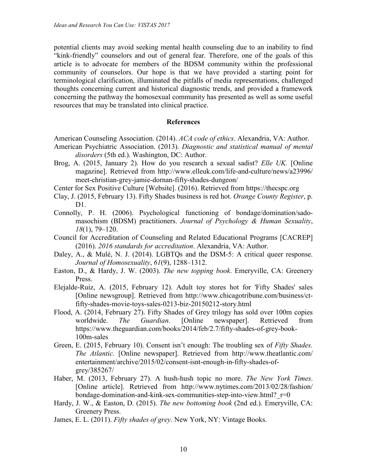potential clients may avoid seeking mental health counseling due to an inability to find "kink-friendly" counselors and out of general fear. Therefore, one of the goals of this article is to advocate for members of the BDSM community within the professional community of counselors. Our hope is that we have provided a starting point for terminological clarification, illuminated the pitfalls of media representations, challenged thoughts concerning current and historical diagnostic trends, and provided a framework concerning the pathway the homosexual community has presented as well as some useful resources that may be translated into clinical practice.

#### **References**

- American Counseling Association. (2014). *ACA code of ethics*. Alexandria, VA: Author.
- American Psychiatric Association. (2013). *Diagnostic and statistical manual of mental disorders* (5th ed.). Washington, DC: Author.
- Brog, A. (2015, January 2). How do you research a sexual sadist? *Elle UK.* [Online magazine]. Retrieved from http://www.elleuk.com/life-and-culture/news/a23996/ meet-christian-grey-jamie-dornan-fifty-shades-dungeon/
- Center for Sex Positive Culture [Website]. (2016). Retrieved from https://thecspc.org
- Clay, J. (2015, February 13). Fifty Shades business is red hot. *Orange County Register*, p. D1.
- Connolly, P. H. (2006). Psychological functioning of bondage/domination/sadomasochism (BDSM) practitioners. *Journal of Psychology & Human Sexuality*, *18*(1), 79–120.
- Council for Accreditation of Counseling and Related Educational Programs [CACREP] (2016). *2016 standards for accreditation*. Alexandria, VA: Author.
- Daley, A., & Mulé, N. J. (2014). LGBTQs and the DSM-5: A critical queer response. *Journal of Homosexuality*, *61*(9), 1288–1312.
- Easton, D., & Hardy, J. W. (2003). *The new topping book*. Emeryville, CA: Greenery Press.
- Elejalde-Ruiz, A. (2015, February 12). Adult toy stores hot for 'Fifty Shades' sales [Online newsgroup]. Retrieved from http://www.chicagotribune.com/business/ctfifty-shades-movie-toys-sales-0213-biz-20150212-story.html
- Flood, A. (2014, February 27). Fifty Shades of Grey trilogy has sold over 100m copies worldwide. *The Guardian*. [Online newspaper]. Retrieved from https://www.theguardian.com/books/2014/feb/2.7/fifty-shades-of-grey-book-100m-sales
- Green, E. (2015, February 10). Consent isn't enough: The troubling sex of *Fifty Shades. The Atlantic.* [Online newspaper]. Retrieved from http://www.theatlantic.com/ entertainment/archive/2015/02/consent-isnt-enough-in-fifty-shades-ofgrey/385267/
- Haber, M. (2013, February 27). A hush-hush topic no more. *The New York Times*. [Online article]. Retrieved from http://www.nytimes.com/2013/02/28/fashion/ bondage-domination-and-kink-sex-communities-step-into-view.html?  $r=0$
- Hardy, J. W., & Easton, D. (2015). *The new bottoming book* (2nd ed.). Emeryville, CA: Greenery Press.
- James, E. L. (2011). *Fifty shades of grey*. New York, NY: Vintage Books.